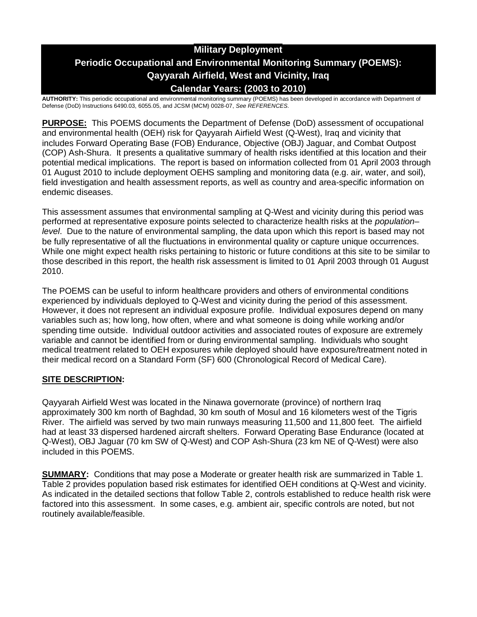# **Military Deployment Periodic Occupational and Environmental Monitoring Summary (POEMS): Qayyarah Airfield, West and Vicinity, Iraq Calendar Years: (2003 to 2010)**

**AUTHORITY:** This periodic occupational and environmental monitoring summary (POEMS) has been developed in accordance with Department of Defense (DoD) Instructions 6490.03, 6055.05, and JCSM (MCM) 0028-07, *See REFERENCES.*

**PURPOSE:** This POEMS documents the Department of Defense (DoD) assessment of occupational and environmental health (OEH) risk for Qayyarah Airfield West (Q-West), Iraq and vicinity that includes Forward Operating Base (FOB) Endurance, Objective (OBJ) Jaguar, and Combat Outpost (COP) Ash-Shura. It presents a qualitative summary of health risks identified at this location and their potential medical implications. The report is based on information collected from 01 April 2003 through 01 August 2010 to include deployment OEHS sampling and monitoring data (e.g. air, water, and soil), field investigation and health assessment reports, as well as country and area-specific information on endemic diseases.

This assessment assumes that environmental sampling at Q-West and vicinity during this period was performed at representative exposure points selected to characterize health risks at the *population– level*. Due to the nature of environmental sampling, the data upon which this report is based may not be fully representative of all the fluctuations in environmental quality or capture unique occurrences. While one might expect health risks pertaining to historic or future conditions at this site to be similar to those described in this report, the health risk assessment is limited to 01 April 2003 through 01 August 2010.

The POEMS can be useful to inform healthcare providers and others of environmental conditions experienced by individuals deployed to Q-West and vicinity during the period of this assessment. However, it does not represent an individual exposure profile. Individual exposures depend on many variables such as; how long, how often, where and what someone is doing while working and/or spending time outside. Individual outdoor activities and associated routes of exposure are extremely variable and cannot be identified from or during environmental sampling. Individuals who sought medical treatment related to OEH exposures while deployed should have exposure/treatment noted in their medical record on a Standard Form (SF) 600 (Chronological Record of Medical Care).

# **SITE DESCRIPTION:**

Qayyarah Airfield West was located in the Ninawa governorate (province) of northern Iraq approximately 300 km north of Baghdad, 30 km south of Mosul and 16 kilometers west of the Tigris River. The airfield was served by two main runways measuring 11,500 and 11,800 feet. The airfield had at least 33 dispersed hardened aircraft shelters. Forward Operating Base Endurance (located at Q-West), OBJ Jaguar (70 km SW of Q-West) and COP Ash-Shura (23 km NE of Q-West) were also included in this POEMS.

**SUMMARY:** Conditions that may pose a Moderate or greater health risk are summarized in Table 1. Table 2 provides population based risk estimates for identified OEH conditions at Q-West and vicinity. As indicated in the detailed sections that follow Table 2, controls established to reduce health risk were factored into this assessment. In some cases, e.g. ambient air, specific controls are noted, but not routinely available/feasible.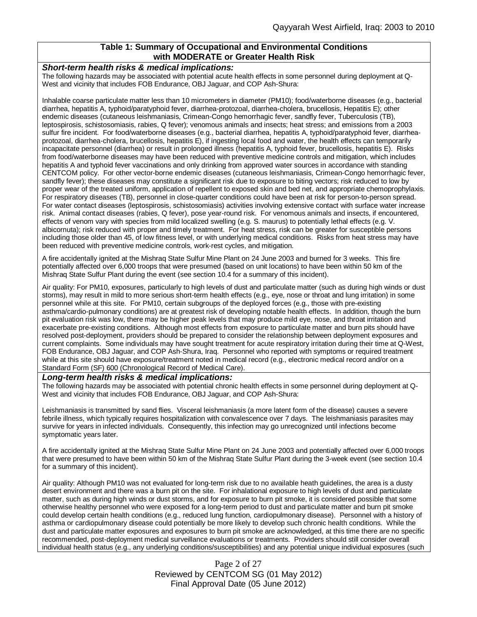## **Table 1: Summary of Occupational and Environmental Conditions with MODERATE or Greater Health Risk**

#### *Short-term health risks & medical implications:*

The following hazards may be associated with potential acute health effects in some personnel during deployment at Q-West and vicinity that includes FOB Endurance, OBJ Jaguar, and COP Ash-Shura:

Inhalable coarse particulate matter less than 10 micrometers in diameter (PM10); food/waterborne diseases (e.g., bacterial diarrhea, hepatitis A, typhoid/paratyphoid fever, diarrhea-protozoal, diarrhea-cholera, brucellosis, Hepatitis E); other endemic diseases (cutaneous leishmaniasis, Crimean-Congo hemorrhagic fever, sandfly fever, Tuberculosis (TB), leptospirosis, schistosomiasis, rabies, Q fever); venomous animals and insects; heat stress; and emissions from a 2003 sulfur fire incident. For food/waterborne diseases (e.g., bacterial diarrhea, hepatitis A, typhoid/paratyphoid fever, diarrheaprotozoal, diarrhea-cholera, brucellosis, hepatitis E), if ingesting local food and water, the health effects can temporarily incapacitate personnel (diarrhea) or result in prolonged illness (hepatitis A, typhoid fever, brucellosis, hepatitis E). Risks from food/waterborne diseases may have been reduced with preventive medicine controls and mitigation, which includes hepatitis A and typhoid fever vaccinations and only drinking from approved water sources in accordance with standing CENTCOM policy. For other vector-borne endemic diseases (cutaneous leishmaniasis, Crimean-Congo hemorrhagic fever, sandfly fever); these diseases may constitute a significant risk due to exposure to biting vectors; risk reduced to low by proper wear of the treated uniform, application of repellent to exposed skin and bed net, and appropriate chemoprophylaxis. For respiratory diseases (TB), personnel in close-quarter conditions could have been at risk for person-to-person spread. For water contact diseases (leptospirosis, schistosomiasis) activities involving extensive contact with surface water increase risk. Animal contact diseases (rabies, Q fever), pose year-round risk. For venomous animals and insects, if encountered, effects of venom vary with species from mild localized swelling (e.g. S. maurus) to potentially lethal effects (e.g. V. albicornuta); risk reduced with proper and timely treatment. For heat stress, risk can be greater for susceptible persons including those older than 45, of low fitness level, or with underlying medical conditions. Risks from heat stress may have been reduced with preventive medicine controls, work-rest cycles, and mitigation.

A fire accidentally ignited at the Mishraq State Sulfur Mine Plant on 24 June 2003 and burned for 3 weeks. This fire potentially affected over 6,000 troops that were presumed (based on unit locations) to have been within 50 km of the Mishraq State Sulfur Plant during the event (see section 10.4 for a summary of this incident).

Air quality: For PM10, exposures, particularly to high levels of dust and particulate matter (such as during high winds or dust storms), may result in mild to more serious short-term health effects (e.g., eye, nose or throat and lung irritation) in some personnel while at this site. For PM10, certain subgroups of the deployed forces (e.g., those with pre-existing asthma/cardio-pulmonary conditions) are at greatest risk of developing notable health effects. In addition, though the burn pit evaluation risk was low, there may be higher peak levels that may produce mild eye, nose, and throat irritation and exacerbate pre-existing conditions. Although most effects from exposure to particulate matter and burn pits should have resolved post-deployment, providers should be prepared to consider the relationship between deployment exposures and current complaints. Some individuals may have sought treatment for acute respiratory irritation during their time at Q-West, FOB Endurance, OBJ Jaguar, and COP Ash-Shura, Iraq. Personnel who reported with symptoms or required treatment while at this site should have exposure/treatment noted in medical record (e.g., electronic medical record and/or on a Standard Form (SF) 600 (Chronological Record of Medical Care).

#### *Long-term health risks & medical implications:*

The following hazards may be associated with potential chronic health effects in some personnel during deployment at Q-West and vicinity that includes FOB Endurance, OBJ Jaguar, and COP Ash-Shura:

Leishmaniasis is transmitted by sand flies. Visceral leishmaniasis (a more latent form of the disease) causes a severe febrile illness, which typically requires hospitalization with convalescence over 7 days. The leishmaniasis parasites may survive for years in infected individuals. Consequently, this infection may go unrecognized until infections become symptomatic years later.

A fire accidentally ignited at the Mishraq State Sulfur Mine Plant on 24 June 2003 and potentially affected over 6,000 troops that were presumed to have been within 50 km of the Mishraq State Sulfur Plant during the 3-week event (see section 10.4 for a summary of this incident).

Air quality: Although PM10 was not evaluated for long-term risk due to no available heath guidelines, the area is a dusty desert environment and there was a burn pit on the site. For inhalational exposure to high levels of dust and particulate matter, such as during high winds or dust storms, and for exposure to burn pit smoke, it is considered possible that some otherwise healthy personnel who were exposed for a long-term period to dust and particulate matter and burn pit smoke could develop certain health conditions (e.g., reduced lung function, cardiopulmonary disease). Personnel with a history of asthma or cardiopulmonary disease could potentially be more likely to develop such chronic health conditions. While the dust and particulate matter exposures and exposures to burn pit smoke are acknowledged, at this time there are no specific recommended, post-deployment medical surveillance evaluations or treatments. Providers should still consider overall individual health status (e.g., any underlying conditions/susceptibilities) and any potential unique individual exposures (such

> Page 2 of 27 Reviewed by CENTCOM SG (01 May 2012) Final Approval Date (05 June 2012)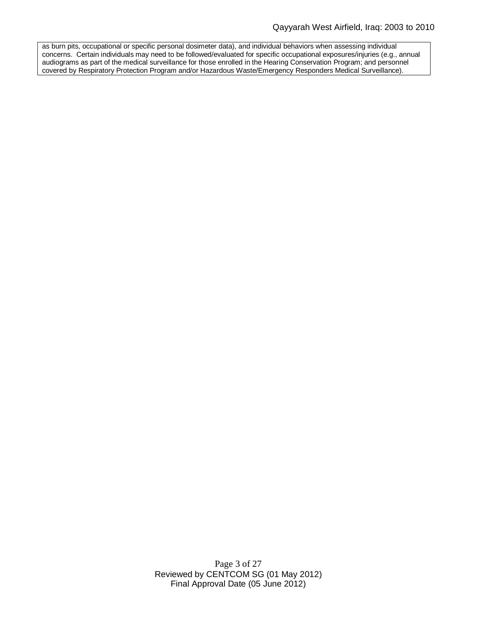as burn pits, occupational or specific personal dosimeter data), and individual behaviors when assessing individual concerns. Certain individuals may need to be followed/evaluated for specific occupational exposures/injuries (e.g., annual audiograms as part of the medical surveillance for those enrolled in the Hearing Conservation Program; and personnel covered by Respiratory Protection Program and/or Hazardous Waste/Emergency Responders Medical Surveillance).

> Page 3 of 27 Reviewed by CENTCOM SG (01 May 2012) Final Approval Date (05 June 2012)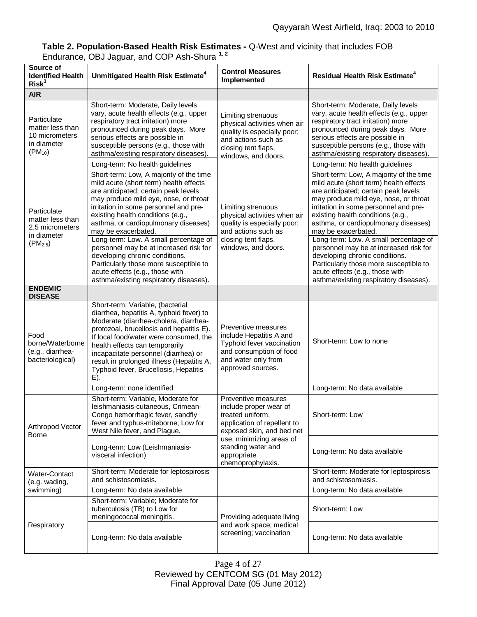# **Table 2. Population-Based Health Risk Estimates -** Q-West and vicinity that includes FOB Endurance, OBJ Jaguar, and COP Ash-Shura **1, 2**

| Source of<br><b>Identified Health</b><br>Risk <sup>3</sup>                        | Unmitigated Health Risk Estimate <sup>4</sup>                                                                                                                                                                                                                                                                                                                                                                                                                                                                                                               | <b>Control Measures</b><br>Implemented                                                                                                                 | Residual Health Risk Estimate <sup>4</sup>                                                                                                                                                                                                                                                                                                                                                                                                                                                                                                                  |  |
|-----------------------------------------------------------------------------------|-------------------------------------------------------------------------------------------------------------------------------------------------------------------------------------------------------------------------------------------------------------------------------------------------------------------------------------------------------------------------------------------------------------------------------------------------------------------------------------------------------------------------------------------------------------|--------------------------------------------------------------------------------------------------------------------------------------------------------|-------------------------------------------------------------------------------------------------------------------------------------------------------------------------------------------------------------------------------------------------------------------------------------------------------------------------------------------------------------------------------------------------------------------------------------------------------------------------------------------------------------------------------------------------------------|--|
| <b>AIR</b>                                                                        |                                                                                                                                                                                                                                                                                                                                                                                                                                                                                                                                                             |                                                                                                                                                        |                                                                                                                                                                                                                                                                                                                                                                                                                                                                                                                                                             |  |
| Particulate<br>matter less than<br>10 micrometers<br>in diameter<br>$(PM_{10})$   | Short-term: Moderate, Daily levels<br>vary, acute health effects (e.g., upper<br>respiratory tract irritation) more<br>pronounced during peak days. More<br>serious effects are possible in<br>susceptible persons (e.g., those with<br>asthma/existing respiratory diseases).                                                                                                                                                                                                                                                                              | Limiting strenuous<br>physical activities when air<br>quality is especially poor;<br>and actions such as<br>closing tent flaps,<br>windows, and doors. | Short-term: Moderate, Daily levels<br>vary, acute health effects (e.g., upper<br>respiratory tract irritation) more<br>pronounced during peak days. More<br>serious effects are possible in<br>susceptible persons (e.g., those with<br>asthma/existing respiratory diseases).                                                                                                                                                                                                                                                                              |  |
|                                                                                   | Long-term: No health guidelines                                                                                                                                                                                                                                                                                                                                                                                                                                                                                                                             |                                                                                                                                                        | Long-term: No health guidelines                                                                                                                                                                                                                                                                                                                                                                                                                                                                                                                             |  |
| Particulate<br>matter less than<br>2.5 micrometers<br>in diameter<br>$(PM_{2.5})$ | Short-term: Low, A majority of the time<br>mild acute (short term) health effects<br>are anticipated; certain peak levels<br>may produce mild eye, nose, or throat<br>irritation in some personnel and pre-<br>existing health conditions (e.g.,<br>asthma, or cardiopulmonary diseases)<br>may be exacerbated.<br>Long-term: Low. A small percentage of<br>personnel may be at increased risk for<br>developing chronic conditions.<br>Particularly those more susceptible to<br>acute effects (e.g., those with<br>asthma/existing respiratory diseases). | Limiting strenuous<br>physical activities when air<br>quality is especially poor;<br>and actions such as<br>closing tent flaps,<br>windows, and doors. | Short-term: Low, A majority of the time<br>mild acute (short term) health effects<br>are anticipated; certain peak levels<br>may produce mild eye, nose, or throat<br>irritation in some personnel and pre-<br>existing health conditions (e.g.,<br>asthma, or cardiopulmonary diseases)<br>may be exacerbated.<br>Long-term: Low. A small percentage of<br>personnel may be at increased risk for<br>developing chronic conditions.<br>Particularly those more susceptible to<br>acute effects (e.g., those with<br>asthma/existing respiratory diseases). |  |
| <b>ENDEMIC</b><br><b>DISEASE</b>                                                  |                                                                                                                                                                                                                                                                                                                                                                                                                                                                                                                                                             |                                                                                                                                                        |                                                                                                                                                                                                                                                                                                                                                                                                                                                                                                                                                             |  |
| Food<br>borne/Waterborne<br>(e.g., diarrhea-<br>bacteriological)                  | Short-term: Variable, (bacterial<br>diarrhea, hepatitis A, typhoid fever) to<br>Moderate (diarrhea-cholera, diarrhea-<br>protozoal, brucellosis and hepatitis E).<br>If local food/water were consumed, the<br>health effects can temporarily<br>incapacitate personnel (diarrhea) or<br>result in prolonged illness (Hepatitis A,<br>Typhoid fever, Brucellosis, Hepatitis<br>$E$ ).                                                                                                                                                                       | Preventive measures<br>include Hepatitis A and<br>Typhoid fever vaccination<br>and consumption of food<br>and water only from<br>approved sources.     | Short-term: Low to none                                                                                                                                                                                                                                                                                                                                                                                                                                                                                                                                     |  |
|                                                                                   | Long-term: none identified                                                                                                                                                                                                                                                                                                                                                                                                                                                                                                                                  |                                                                                                                                                        | Long-term: No data available                                                                                                                                                                                                                                                                                                                                                                                                                                                                                                                                |  |
| Arthropod Vector<br>Borne                                                         | Short-term: Variable, Moderate for<br>leishmaniasis-cutaneous, Crimean-<br>Congo hemorrhagic fever, sandfly<br>fever and typhus-miteborne; Low for<br>West Nile fever, and Plague.                                                                                                                                                                                                                                                                                                                                                                          | Preventive measures<br>include proper wear of<br>treated uniform,<br>application of repellent to<br>exposed skin, and bed net                          | Short-term: Low                                                                                                                                                                                                                                                                                                                                                                                                                                                                                                                                             |  |
|                                                                                   | Long-term: Low (Leishmaniasis-<br>visceral infection)                                                                                                                                                                                                                                                                                                                                                                                                                                                                                                       | use, minimizing areas of<br>standing water and<br>appropriate<br>chemoprophylaxis.                                                                     | Long-term: No data available                                                                                                                                                                                                                                                                                                                                                                                                                                                                                                                                |  |
| Water-Contact<br>(e.g. wading,                                                    | Short-term: Moderate for leptospirosis<br>and schistosomiasis.                                                                                                                                                                                                                                                                                                                                                                                                                                                                                              |                                                                                                                                                        | Short-term: Moderate for leptospirosis<br>and schistosomiasis.                                                                                                                                                                                                                                                                                                                                                                                                                                                                                              |  |
| swimming)                                                                         | Long-term: No data available                                                                                                                                                                                                                                                                                                                                                                                                                                                                                                                                |                                                                                                                                                        | Long-term: No data available                                                                                                                                                                                                                                                                                                                                                                                                                                                                                                                                |  |
| Respiratory                                                                       | Short-term: Variable; Moderate for<br>tuberculosis (TB) to Low for<br>meningococcal meningitis.                                                                                                                                                                                                                                                                                                                                                                                                                                                             | Providing adequate living<br>and work space; medical                                                                                                   | Short-term: Low                                                                                                                                                                                                                                                                                                                                                                                                                                                                                                                                             |  |
|                                                                                   | Long-term: No data available                                                                                                                                                                                                                                                                                                                                                                                                                                                                                                                                | screening; vaccination                                                                                                                                 | Long-term: No data available                                                                                                                                                                                                                                                                                                                                                                                                                                                                                                                                |  |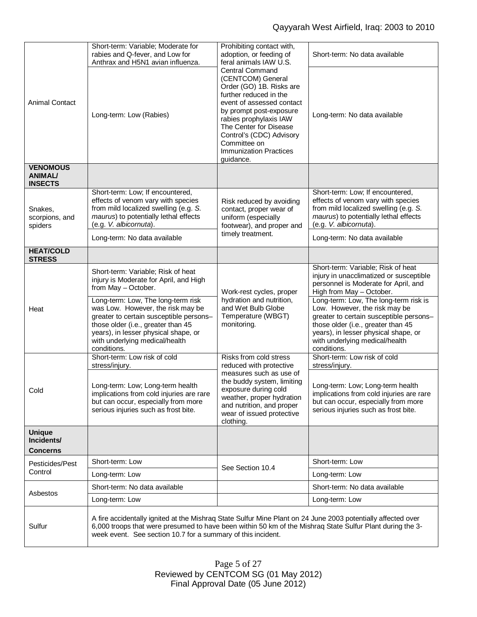|                                                     | Short-term: Variable; Moderate for<br>rabies and Q-fever, and Low for<br>Anthrax and H5N1 avian influenza.                                                                                                                                                                                | Prohibiting contact with,<br>adoption, or feeding of<br>feral animals IAW U.S.                                                                                                                                                                                                                          | Short-term: No data available                                                                                                                                                                                                                    |  |
|-----------------------------------------------------|-------------------------------------------------------------------------------------------------------------------------------------------------------------------------------------------------------------------------------------------------------------------------------------------|---------------------------------------------------------------------------------------------------------------------------------------------------------------------------------------------------------------------------------------------------------------------------------------------------------|--------------------------------------------------------------------------------------------------------------------------------------------------------------------------------------------------------------------------------------------------|--|
| <b>Animal Contact</b>                               | Long-term: Low (Rabies)                                                                                                                                                                                                                                                                   | <b>Central Command</b><br>(CENTCOM) General<br>Order (GO) 1B. Risks are<br>further reduced in the<br>event of assessed contact<br>by prompt post-exposure<br>rabies prophylaxis IAW<br>The Center for Disease<br>Control's (CDC) Advisory<br>Committee on<br><b>Immunization Practices</b><br>guidance. | Long-term: No data available                                                                                                                                                                                                                     |  |
| <b>VENOMOUS</b><br><b>ANIMAL/</b><br><b>INSECTS</b> |                                                                                                                                                                                                                                                                                           |                                                                                                                                                                                                                                                                                                         |                                                                                                                                                                                                                                                  |  |
| Snakes,<br>scorpions, and<br>spiders                | Short-term: Low; If encountered,<br>effects of venom vary with species<br>from mild localized swelling (e.g. S.<br>maurus) to potentially lethal effects<br>(e.g. V. albicornuta).<br>Long-term: No data available                                                                        | Risk reduced by avoiding<br>contact, proper wear of<br>uniform (especially<br>footwear), and proper and<br>timely treatment.                                                                                                                                                                            | Short-term: Low; If encountered,<br>effects of venom vary with species<br>from mild localized swelling (e.g. S.<br>maurus) to potentially lethal effects<br>(e.g. V. albicornuta).<br>Long-term: No data available                               |  |
| <b>HEAT/COLD</b><br><b>STRESS</b>                   |                                                                                                                                                                                                                                                                                           |                                                                                                                                                                                                                                                                                                         |                                                                                                                                                                                                                                                  |  |
| Heat                                                | Short-term: Variable; Risk of heat<br>injury is Moderate for April, and High<br>from May - October.                                                                                                                                                                                       | Work-rest cycles, proper                                                                                                                                                                                                                                                                                | Short-term: Variable; Risk of heat<br>injury in unacclimatized or susceptible<br>personnel is Moderate for April, and<br>High from May - October.                                                                                                |  |
|                                                     | Long-term: Low, The long-term risk<br>was Low. However, the risk may be<br>greater to certain susceptible persons-<br>those older (i.e., greater than 45<br>years), in lesser physical shape, or<br>with underlying medical/health<br>conditions.                                         | hydration and nutrition,<br>and Wet Bulb Globe<br>Temperature (WBGT)<br>monitoring.                                                                                                                                                                                                                     | Long-term: Low, The long-term risk is<br>Low. However, the risk may be<br>greater to certain susceptible persons-<br>those older (i.e., greater than 45<br>years), in lesser physical shape, or<br>with underlying medical/health<br>conditions. |  |
|                                                     | Short-term: Low risk of cold<br>stress/injury.                                                                                                                                                                                                                                            | Risks from cold stress<br>reduced with protective                                                                                                                                                                                                                                                       | Short-term: Low risk of cold<br>stress/injury.                                                                                                                                                                                                   |  |
| Cold                                                | Long-term: Low; Long-term health<br>implications from cold injuries are rare<br>but can occur, especially from more<br>serious injuries such as frost bite.                                                                                                                               | measures such as use of<br>the buddy system, limiting<br>exposure during cold<br>weather, proper hydration<br>and nutrition, and proper<br>wear of issued protective<br>clothing.                                                                                                                       | Long-term: Low; Long-term health<br>implications from cold injuries are rare<br>but can occur, especially from more<br>serious injuries such as frost bite.                                                                                      |  |
| <b>Unique</b><br>Incidents/<br><b>Concerns</b>      |                                                                                                                                                                                                                                                                                           |                                                                                                                                                                                                                                                                                                         |                                                                                                                                                                                                                                                  |  |
| Pesticides/Pest                                     | Short-term: Low                                                                                                                                                                                                                                                                           |                                                                                                                                                                                                                                                                                                         | Short-term: Low                                                                                                                                                                                                                                  |  |
| Control                                             | Long-term: Low                                                                                                                                                                                                                                                                            | See Section 10.4                                                                                                                                                                                                                                                                                        | Long-term: Low                                                                                                                                                                                                                                   |  |
| Asbestos                                            | Short-term: No data available                                                                                                                                                                                                                                                             |                                                                                                                                                                                                                                                                                                         | Short-term: No data available                                                                                                                                                                                                                    |  |
|                                                     | Long-term: Low                                                                                                                                                                                                                                                                            |                                                                                                                                                                                                                                                                                                         | Long-term: Low                                                                                                                                                                                                                                   |  |
| Sulfur                                              | A fire accidentally ignited at the Mishraq State Sulfur Mine Plant on 24 June 2003 potentially affected over<br>6,000 troops that were presumed to have been within 50 km of the Mishraq State Sulfur Plant during the 3-<br>week event. See section 10.7 for a summary of this incident. |                                                                                                                                                                                                                                                                                                         |                                                                                                                                                                                                                                                  |  |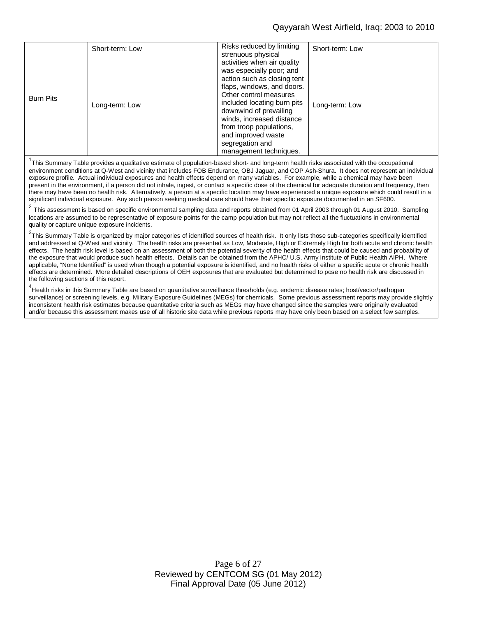#### Qayyarah West Airfield, Iraq: 2003 to 2010

|                  | Short-term: Low | Risks reduced by limiting<br>strenuous physical                                                                                                                                                                                                                                                                                    | Short-term: Low |
|------------------|-----------------|------------------------------------------------------------------------------------------------------------------------------------------------------------------------------------------------------------------------------------------------------------------------------------------------------------------------------------|-----------------|
| <b>Burn Pits</b> | Long-term: Low  | activities when air quality<br>was especially poor; and<br>action such as closing tent<br>flaps, windows, and doors.<br>Other control measures<br>included locating burn pits<br>downwind of prevailing<br>winds, increased distance<br>from troop populations,<br>and improved waste<br>segregation and<br>management techniques. | Long-term: Low  |

<sup>1</sup>This Summary Table provides a qualitative estimate of population-based short- and long-term health risks associated with the occupational environment conditions at Q-West and vicinity that includes FOB Endurance, OBJ Jaguar, and COP Ash-Shura. It does not represent an individual exposure profile. Actual individual exposures and health effects depend on many variables. For example, while a chemical may have been present in the environment, if a person did not inhale, ingest, or contact a specific dose of the chemical for adequate duration and frequency, then there may have been no health risk. Alternatively, a person at a specific location may have experienced a unique exposure which could result in a significant individual exposure. Any such person seeking medical care should have their specific exposure documented in an SF600.

 $^2$  This assessment is based on specific environmental sampling data and reports obtained from 01 April 2003 through 01 August 2010. Sampling locations are assumed to be representative of exposure points for the camp population but may not reflect all the fluctuations in environmental quality or capture unique exposure incidents.

<sup>3</sup>This Summary Table is organized by major categories of identified sources of health risk. It only lists those sub-categories specifically identified and addressed at Q-West and vicinity. The health risks are presented as Low, Moderate, High or Extremely High for both acute and chronic health effects. The health risk level is based on an assessment of both the potential severity of the health effects that could be caused and probability of the exposure that would produce such health effects. Details can be obtained from the APHC/ U.S. Army Institute of Public Health AIPH. Where applicable, "None Identified" is used when though a potential exposure is identified, and no health risks of either a specific acute or chronic health effects are determined. More detailed descriptions of OEH exposures that are evaluated but determined to pose no health risk are discussed in the following sections of this report.

<sup>4</sup>Health risks in this Summary Table are based on quantitative surveillance thresholds (e.g. endemic disease rates; host/vector/pathogen surveillance) or screening levels, e.g. Military Exposure Guidelines (MEGs) for chemicals*.* Some previous assessment reports may provide slightly inconsistent health risk estimates because quantitative criteria such as MEGs may have changed since the samples were originally evaluated and/or because this assessment makes use of all historic site data while previous reports may have only been based on a select few samples.

> Page 6 of 27 Reviewed by CENTCOM SG (01 May 2012) Final Approval Date (05 June 2012)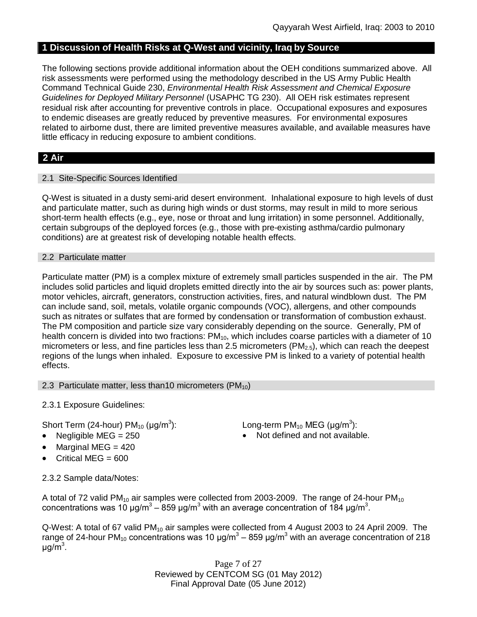# **1 Discussion of Health Risks at Q-West and vicinity, Iraq by Source**

The following sections provide additional information about the OEH conditions summarized above. All risk assessments were performed using the methodology described in the US Army Public Health Command Technical Guide 230, *Environmental Health Risk Assessment and Chemical Exposure Guidelines for Deployed Military Personnel* (USAPHC TG 230). All OEH risk estimates represent residual risk after accounting for preventive controls in place. Occupational exposures and exposures to endemic diseases are greatly reduced by preventive measures. For environmental exposures related to airborne dust, there are limited preventive measures available, and available measures have little efficacy in reducing exposure to ambient conditions.

# **2 Air**

# 2.1 Site-Specific Sources Identified

Q-West is situated in a dusty semi-arid desert environment. Inhalational exposure to high levels of dust and particulate matter, such as during high winds or dust storms, may result in mild to more serious short-term health effects (e.g., eye, nose or throat and lung irritation) in some personnel. Additionally, certain subgroups of the deployed forces (e.g., those with pre-existing asthma/cardio pulmonary conditions) are at greatest risk of developing notable health effects.

## 2.2 Particulate matter

Particulate matter (PM) is a complex mixture of extremely small particles suspended in the air. The PM includes solid particles and liquid droplets emitted directly into the air by sources such as: power plants, motor vehicles, aircraft, generators, construction activities, fires, and natural windblown dust. The PM can include sand, soil, metals, volatile organic compounds (VOC), allergens, and other compounds such as nitrates or sulfates that are formed by condensation or transformation of combustion exhaust. The PM composition and particle size vary considerably depending on the source. Generally, PM of health concern is divided into two fractions:  $PM_{10}$ , which includes coarse particles with a diameter of 10 micrometers or less, and fine particles less than 2.5 micrometers ( $PM<sub>2.5</sub>$ ), which can reach the deepest regions of the lungs when inhaled. Exposure to excessive PM is linked to a variety of potential health effects.

# 2.3 Particulate matter, less than10 micrometers  $(PM_{10})$

2.3.1 Exposure Guidelines:

Short Term (24-hour) PM $_{10}$  (µg/m $^3$ 

- 
- Marginal MEG  $=$  420
- Critical MEG =  $600$

): Long-term PM<sub>10</sub> MEG ( $\mu$ g/m<sup>3</sup>):

Negligible  $MEG = 250$  Not defined and not available.

2.3.2 Sample data/Notes:

A total of 72 valid PM<sub>10</sub> air samples were collected from 2003-2009. The range of 24-hour PM<sub>10</sub> concentrations was 10 μg/m<sup>3</sup> – 859 μg/m<sup>3</sup> with an average concentration of 184 μg/m<sup>3</sup>.

Q-West: A total of 67 valid PM<sub>10</sub> air samples were collected from 4 August 2003 to 24 April 2009. The range of 24-hour PM<sub>10</sub> concentrations was 10 μg/m<sup>3</sup> – 859 μg/m<sup>3</sup> with an average concentration of 218 μg/m<sup>3</sup>.

> Page 7 of 27 Reviewed by CENTCOM SG (01 May 2012) Final Approval Date (05 June 2012)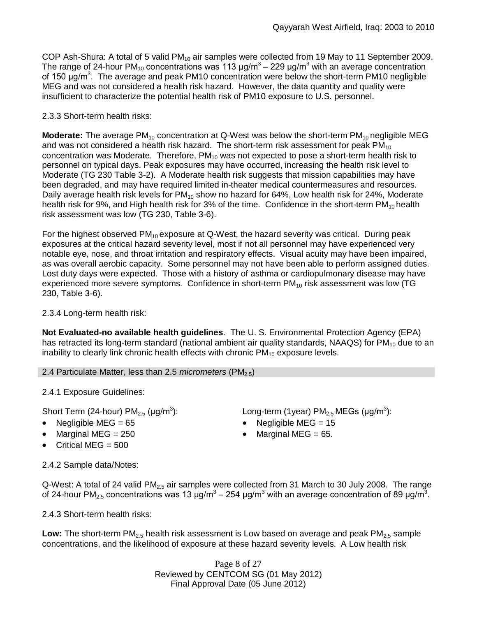COP Ash-Shura: A total of 5 valid PM<sub>10</sub> air samples were collected from 19 May to 11 September 2009. The range of 24-hour PM<sub>10</sub> concentrations was 113 µg/m<sup>3</sup> – 229 µg/m<sup>3</sup> with an average concentration of 150 μg/m<sup>3</sup>. The average and peak PM10 concentration were below the short-term PM10 negligible MEG and was not considered a health risk hazard. However, the data quantity and quality were insufficient to characterize the potential health risk of PM10 exposure to U.S. personnel.

# 2.3.3 Short-term health risks:

**Moderate:** The average PM<sub>10</sub> concentration at Q-West was below the short-term PM<sub>10</sub> negligible MEG and was not considered a health risk hazard. The short-term risk assessment for peak  $PM_{10}$ concentration was Moderate. Therefore,  $PM_{10}$  was not expected to pose a short-term health risk to personnel on typical days. Peak exposures may have occurred, increasing the health risk level to Moderate (TG 230 Table 3-2). A Moderate health risk suggests that mission capabilities may have been degraded, and may have required limited in-theater medical countermeasures and resources*.* Daily average health risk levels for  $PM_{10}$  show no hazard for 64%, Low health risk for 24%, Moderate health risk for 9%, and High health risk for 3% of the time. Confidence in the short-term  $PM_{10}$  health risk assessment was low (TG 230, Table 3-6).

For the highest observed  $PM_{10}$  exposure at Q-West, the hazard severity was critical. During peak exposures at the critical hazard severity level, most if not all personnel may have experienced very notable eye, nose, and throat irritation and respiratory effects. Visual acuity may have been impaired, as was overall aerobic capacity. Some personnel may not have been able to perform assigned duties. Lost duty days were expected. Those with a history of asthma or cardiopulmonary disease may have experienced more severe symptoms. Confidence in short-term  $PM_{10}$  risk assessment was low (TG 230, Table 3-6).

2.3.4 Long-term health risk:

**Not Evaluated-no available health guidelines**. The U. S. Environmental Protection Agency (EPA) has retracted its long-term standard (national ambient air quality standards, NAAQS) for  $PM_{10}$  due to an inability to clearly link chronic health effects with chronic  $PM_{10}$  exposure levels.

# 2.4 Particulate Matter, less than 2.5 *micrometers* (PM<sub>2.5</sub>)

2.4.1 Exposure Guidelines:

Short Term (24-hour) PM $_{2.5}$  (µg/m $^3$ 

- Negligible MEG = 65 Negligible MEG = 15
- Marginal MEG =  $250$  extended to Marginal MEG =  $65$ .
- $\bullet$  Critical MEG = 500

):  $\qquad \qquad \textsf{Long-term (1year) PM}_{2.5} \, \textsf{MEGs (}\mu\textsf{g/m}^3\textsf{)}\textsf{:}$ 

- 
- 

2.4.2 Sample data/Notes:

Q-West: A total of 24 valid PM<sub>2.5</sub> air samples were collected from 31 March to 30 July 2008. The range of 24-hour PM<sub>2.5</sub> concentrations was 13 μg/m<sup>3</sup> – 254 μg/m<sup>3</sup> with an average concentration of 89 μg/m<sup>3</sup>.

2.4.3 Short-term health risks:

Low: The short-term PM<sub>2.5</sub> health risk assessment is Low based on average and peak PM<sub>2.5</sub> sample concentrations, and the likelihood of exposure at these hazard severity levels. A Low health risk

> Page 8 of 27 Reviewed by CENTCOM SG (01 May 2012) Final Approval Date (05 June 2012)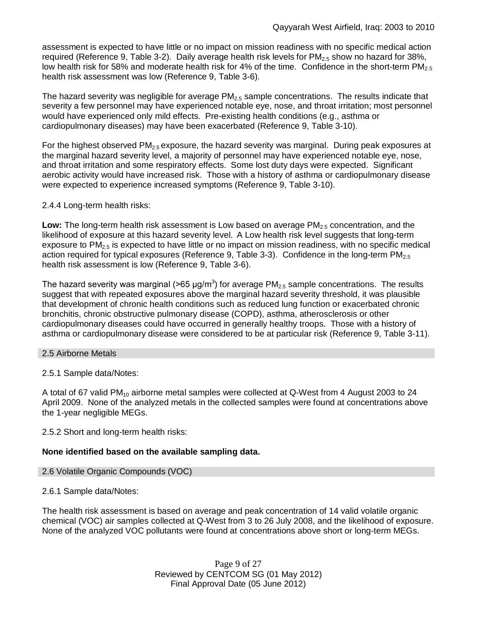assessment is expected to have little or no impact on mission readiness with no specific medical action required (Reference 9, Table 3-2). Daily average health risk levels for  $PM_{2.5}$  show no hazard for 38%, low health risk for 58% and moderate health risk for 4% of the time. Confidence in the short-term  $PM_{2.5}$ health risk assessment was low (Reference 9, Table 3-6).

The hazard severity was negligible for average  $PM_{2.5}$  sample concentrations. The results indicate that severity a few personnel may have experienced notable eye, nose, and throat irritation; most personnel would have experienced only mild effects. Pre-existing health conditions (e.g., asthma or cardiopulmonary diseases) may have been exacerbated (Reference 9, Table 3-10).

For the highest observed PM<sub>2.5</sub> exposure, the hazard severity was marginal. During peak exposures at the marginal hazard severity level, a majority of personnel may have experienced notable eye, nose, and throat irritation and some respiratory effects. Some lost duty days were expected. Significant aerobic activity would have increased risk. Those with a history of asthma or cardiopulmonary disease were expected to experience increased symptoms (Reference 9, Table 3-10).

# 2.4.4 Long-term health risks:

**Low:** The long-term health risk assessment is Low based on average PM<sub>2.5</sub> concentration, and the likelihood of exposure at this hazard severity level. A Low health risk level suggests that long-term exposure to  $PM_{2.5}$  is expected to have little or no impact on mission readiness, with no specific medical action required for typical exposures (Reference 9, Table 3-3). Confidence in the long-term PM<sub>2.5</sub> health risk assessment is low (Reference 9, Table 3-6).

The hazard severity was marginal (>65 µg/m<sup>3</sup>) for average PM<sub>2.5</sub> sample concentrations. The results suggest that with repeated exposures above the marginal hazard severity threshold, it was plausible that development of chronic health conditions such as reduced lung function or exacerbated chronic bronchitis, chronic obstructive pulmonary disease (COPD), asthma, atherosclerosis or other cardiopulmonary diseases could have occurred in generally healthy troops. Those with a history of asthma or cardiopulmonary disease were considered to be at particular risk (Reference 9, Table 3-11).

# 2.5 Airborne Metals

# 2.5.1 Sample data/Notes:

A total of 67 valid PM<sub>10</sub> airborne metal samples were collected at Q-West from 4 August 2003 to 24 April 2009. None of the analyzed metals in the collected samples were found at concentrations above the 1-year negligible MEGs.

# 2.5.2 Short and long-term health risks:

# **None identified based on the available sampling data.**

# 2.6 Volatile Organic Compounds (VOC)

# 2.6.1 Sample data/Notes:

The health risk assessment is based on average and peak concentration of 14 valid volatile organic chemical (VOC) air samples collected at Q-West from 3 to 26 July 2008, and the likelihood of exposure. None of the analyzed VOC pollutants were found at concentrations above short or long-term MEGs.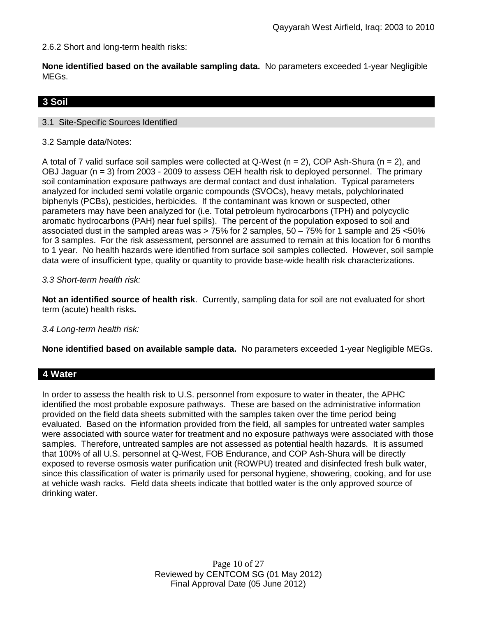2.6.2 Short and long-term health risks:

**None identified based on the available sampling data.** No parameters exceeded 1-year Negligible MEGs.

# **3 Soil**

## 3.1 Site-Specific Sources Identified

3.2 Sample data/Notes:

A total of 7 valid surface soil samples were collected at Q-West  $(n = 2)$ , COP Ash-Shura  $(n = 2)$ , and OBJ Jaguar (n = 3) from 2003 - 2009 to assess OEH health risk to deployed personnel. The primary soil contamination exposure pathways are dermal contact and dust inhalation. Typical parameters analyzed for included semi volatile organic compounds (SVOCs), heavy metals, polychlorinated biphenyls (PCBs), pesticides, herbicides. If the contaminant was known or suspected, other parameters may have been analyzed for (i.e. Total petroleum hydrocarbons (TPH) and polycyclic aromatic hydrocarbons (PAH) near fuel spills). The percent of the population exposed to soil and associated dust in the sampled areas was > 75% for 2 samples, 50 – 75% for 1 sample and 25 <50% for 3 samples. For the risk assessment, personnel are assumed to remain at this location for 6 months to 1 year. No health hazards were identified from surface soil samples collected. However, soil sample data were of insufficient type, quality or quantity to provide base-wide health risk characterizations.

## *3.3 Short-term health risk:*

**Not an identified source of health risk**. Currently, sampling data for soil are not evaluated for short term (acute) health risks**.**

#### *3.4 Long-term health risk:*

**None identified based on available sample data.** No parameters exceeded 1-year Negligible MEGs.

# **4 Water**

In order to assess the health risk to U.S. personnel from exposure to water in theater, the APHC identified the most probable exposure pathways. These are based on the administrative information provided on the field data sheets submitted with the samples taken over the time period being evaluated. Based on the information provided from the field, all samples for untreated water samples were associated with source water for treatment and no exposure pathways were associated with those samples. Therefore, untreated samples are not assessed as potential health hazards. It is assumed that 100% of all U.S. personnel at Q-West, FOB Endurance, and COP Ash-Shura will be directly exposed to reverse osmosis water purification unit (ROWPU) treated and disinfected fresh bulk water, since this classification of water is primarily used for personal hygiene, showering, cooking, and for use at vehicle wash racks. Field data sheets indicate that bottled water is the only approved source of drinking water.

> Page 10 of 27 Reviewed by CENTCOM SG (01 May 2012) Final Approval Date (05 June 2012)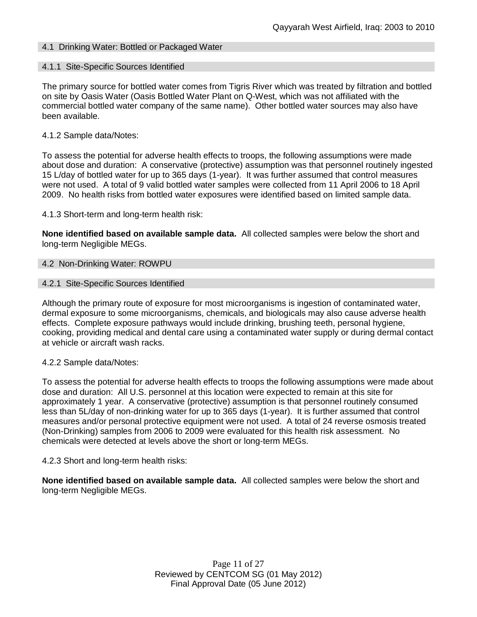# 4.1 Drinking Water: Bottled or Packaged Water

#### 4.1.1 Site-Specific Sources Identified

The primary source for bottled water comes from Tigris River which was treated by filtration and bottled on site by Oasis Water (Oasis Bottled Water Plant on Q-West, which was not affiliated with the commercial bottled water company of the same name). Other bottled water sources may also have been available.

#### 4.1.2 Sample data/Notes:

To assess the potential for adverse health effects to troops, the following assumptions were made about dose and duration: A conservative (protective) assumption was that personnel routinely ingested 15 L/day of bottled water for up to 365 days (1-year). It was further assumed that control measures were not used. A total of 9 valid bottled water samples were collected from 11 April 2006 to 18 April 2009. No health risks from bottled water exposures were identified based on limited sample data.

4.1.3 Short-term and long-term health risk:

**None identified based on available sample data.** All collected samples were below the short and long-term Negligible MEGs.

#### 4.2 Non-Drinking Water: ROWPU

#### 4.2.1 Site-Specific Sources Identified

Although the primary route of exposure for most microorganisms is ingestion of contaminated water, dermal exposure to some microorganisms, chemicals, and biologicals may also cause adverse health effects. Complete exposure pathways would include drinking, brushing teeth, personal hygiene, cooking, providing medical and dental care using a contaminated water supply or during dermal contact at vehicle or aircraft wash racks.

#### 4.2.2 Sample data/Notes:

To assess the potential for adverse health effects to troops the following assumptions were made about dose and duration: All U.S. personnel at this location were expected to remain at this site for approximately 1 year. A conservative (protective) assumption is that personnel routinely consumed less than 5L/day of non-drinking water for up to 365 days (1-year). It is further assumed that control measures and/or personal protective equipment were not used. A total of 24 reverse osmosis treated (Non-Drinking) samples from 2006 to 2009 were evaluated for this health risk assessment. No chemicals were detected at levels above the short or long-term MEGs.

#### 4.2.3 Short and long-term health risks:

**None identified based on available sample data.** All collected samples were below the short and long-term Negligible MEGs.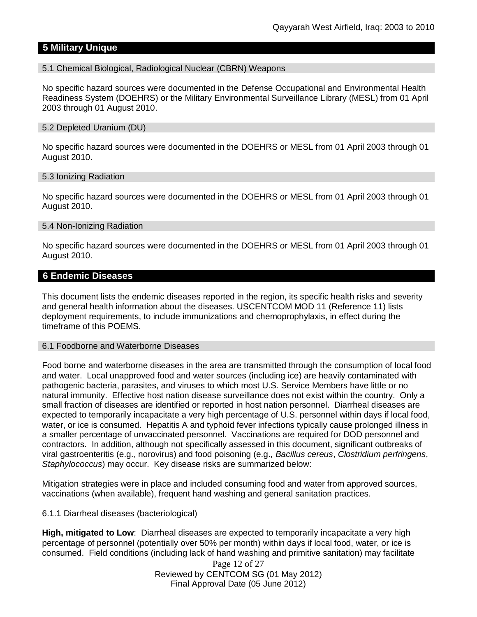# **5 Military Unique**

5.1 Chemical Biological, Radiological Nuclear (CBRN) Weapons

No specific hazard sources were documented in the Defense Occupational and Environmental Health Readiness System (DOEHRS) or the Military Environmental Surveillance Library (MESL) from 01 April 2003 through 01 August 2010.

#### 5.2 Depleted Uranium (DU)

No specific hazard sources were documented in the DOEHRS or MESL from 01 April 2003 through 01 August 2010.

#### 5.3 Ionizing Radiation

No specific hazard sources were documented in the DOEHRS or MESL from 01 April 2003 through 01 August 2010.

#### 5.4 Non-Ionizing Radiation

No specific hazard sources were documented in the DOEHRS or MESL from 01 April 2003 through 01 August 2010.

#### **6 Endemic Diseases**

This document lists the endemic diseases reported in the region, its specific health risks and severity and general health information about the diseases. USCENTCOM MOD 11 (Reference 11) lists deployment requirements, to include immunizations and chemoprophylaxis, in effect during the timeframe of this POEMS.

#### 6.1 Foodborne and Waterborne Diseases

Food borne and waterborne diseases in the area are transmitted through the consumption of local food and water. Local unapproved food and water sources (including ice) are heavily contaminated with pathogenic bacteria, parasites, and viruses to which most U.S. Service Members have little or no natural immunity. Effective host nation disease surveillance does not exist within the country. Only a small fraction of diseases are identified or reported in host nation personnel. Diarrheal diseases are expected to temporarily incapacitate a very high percentage of U.S. personnel within days if local food, water, or ice is consumed. Hepatitis A and typhoid fever infections typically cause prolonged illness in a smaller percentage of unvaccinated personnel. Vaccinations are required for DOD personnel and contractors. In addition, although not specifically assessed in this document, significant outbreaks of viral gastroenteritis (e.g., norovirus) and food poisoning (e.g., *Bacillus cereus*, *Clostridium perfringens*, *Staphylococcus*) may occur. Key disease risks are summarized below:

Mitigation strategies were in place and included consuming food and water from approved sources, vaccinations (when available), frequent hand washing and general sanitation practices.

#### 6.1.1 Diarrheal diseases (bacteriological)

**High, mitigated to Low**: Diarrheal diseases are expected to temporarily incapacitate a very high percentage of personnel (potentially over 50% per month) within days if local food, water, or ice is consumed. Field conditions (including lack of hand washing and primitive sanitation) may facilitate

> Page 12 of 27 Reviewed by CENTCOM SG (01 May 2012) Final Approval Date (05 June 2012)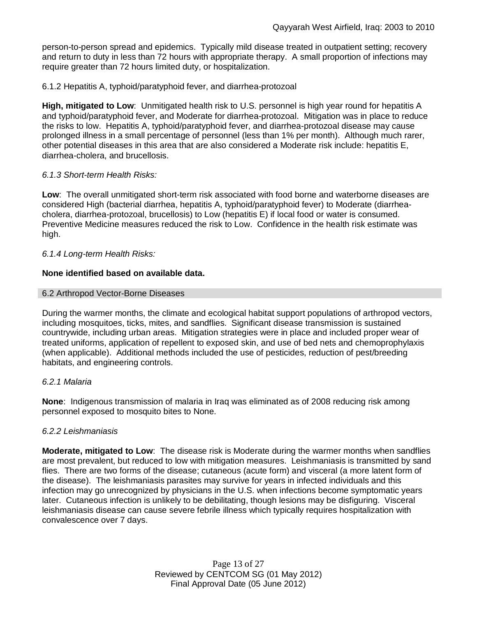person-to-person spread and epidemics. Typically mild disease treated in outpatient setting; recovery and return to duty in less than 72 hours with appropriate therapy. A small proportion of infections may require greater than 72 hours limited duty, or hospitalization.

# 6.1.2 Hepatitis A, typhoid/paratyphoid fever, and diarrhea-protozoal

**High, mitigated to Low**: Unmitigated health risk to U.S. personnel is high year round for hepatitis A and typhoid/paratyphoid fever, and Moderate for diarrhea-protozoal. Mitigation was in place to reduce the risks to low. Hepatitis A, typhoid/paratyphoid fever, and diarrhea-protozoal disease may cause prolonged illness in a small percentage of personnel (less than 1% per month). Although much rarer, other potential diseases in this area that are also considered a Moderate risk include: hepatitis E, diarrhea-cholera, and brucellosis.

## *6.1.3 Short-term Health Risks:*

**Low**: The overall unmitigated short-term risk associated with food borne and waterborne diseases are considered High (bacterial diarrhea, hepatitis A, typhoid/paratyphoid fever) to Moderate (diarrheacholera, diarrhea-protozoal, brucellosis) to Low (hepatitis E) if local food or water is consumed. Preventive Medicine measures reduced the risk to Low. Confidence in the health risk estimate was high.

## *6.1.4 Long-term Health Risks:*

## **None identified based on available data.**

## 6.2 Arthropod Vector-Borne Diseases

During the warmer months, the climate and ecological habitat support populations of arthropod vectors, including mosquitoes, ticks, mites, and sandflies. Significant disease transmission is sustained countrywide, including urban areas. Mitigation strategies were in place and included proper wear of treated uniforms, application of repellent to exposed skin, and use of bed nets and chemoprophylaxis (when applicable). Additional methods included the use of pesticides, reduction of pest/breeding habitats, and engineering controls.

#### *6.2.1 Malaria*

**None**: Indigenous transmission of malaria in Iraq was eliminated as of 2008 reducing risk among personnel exposed to mosquito bites to None.

#### *6.2.2 Leishmaniasis*

**Moderate, mitigated to Low**: The disease risk is Moderate during the warmer months when sandflies are most prevalent, but reduced to low with mitigation measures. Leishmaniasis is transmitted by sand flies. There are two forms of the disease; cutaneous (acute form) and visceral (a more latent form of the disease). The leishmaniasis parasites may survive for years in infected individuals and this infection may go unrecognized by physicians in the U.S. when infections become symptomatic years later. Cutaneous infection is unlikely to be debilitating, though lesions may be disfiguring. Visceral leishmaniasis disease can cause severe febrile illness which typically requires hospitalization with convalescence over 7 days.

> Page 13 of 27 Reviewed by CENTCOM SG (01 May 2012) Final Approval Date (05 June 2012)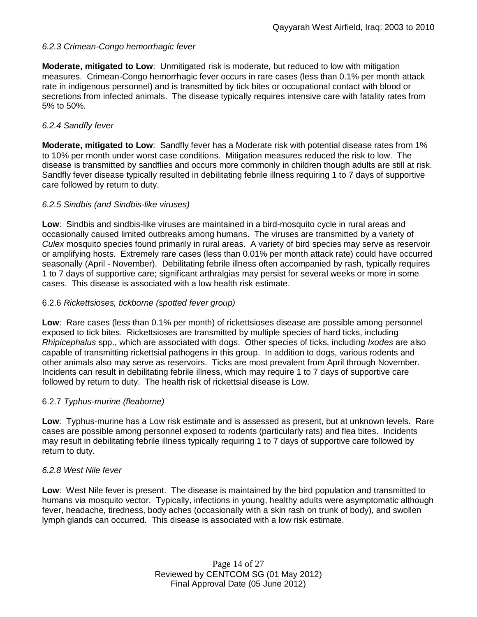# *6.2.3 Crimean-Congo hemorrhagic fever*

**Moderate, mitigated to Low**: Unmitigated risk is moderate, but reduced to low with mitigation measures. Crimean-Congo hemorrhagic fever occurs in rare cases (less than 0.1% per month attack rate in indigenous personnel) and is transmitted by tick bites or occupational contact with blood or secretions from infected animals. The disease typically requires intensive care with fatality rates from 5% to 50%.

# *6.2.4 Sandfly fever*

**Moderate, mitigated to Low**: Sandfly fever has a Moderate risk with potential disease rates from 1% to 10% per month under worst case conditions. Mitigation measures reduced the risk to low. The disease is transmitted by sandflies and occurs more commonly in children though adults are still at risk. Sandfly fever disease typically resulted in debilitating febrile illness requiring 1 to 7 days of supportive care followed by return to duty.

#### *6.2.5 Sindbis (and Sindbis-like viruses)*

**Low**: Sindbis and sindbis-like viruses are maintained in a bird-mosquito cycle in rural areas and occasionally caused limited outbreaks among humans. The viruses are transmitted by a variety of *Culex* mosquito species found primarily in rural areas. A variety of bird species may serve as reservoir or amplifying hosts. Extremely rare cases (less than 0.01% per month attack rate) could have occurred seasonally (April - November). Debilitating febrile illness often accompanied by rash, typically requires 1 to 7 days of supportive care; significant arthralgias may persist for several weeks or more in some cases. This disease is associated with a low health risk estimate.

## 6.2.6 *Rickettsioses, tickborne (spotted fever group)*

**Low**: Rare cases (less than 0.1% per month) of rickettsioses disease are possible among personnel exposed to tick bites. Rickettsioses are transmitted by multiple species of hard ticks, including *Rhipicephalus* spp., which are associated with dogs. Other species of ticks, including *Ixodes* are also capable of transmitting rickettsial pathogens in this group. In addition to dogs, various rodents and other animals also may serve as reservoirs. Ticks are most prevalent from April through November. Incidents can result in debilitating febrile illness, which may require 1 to 7 days of supportive care followed by return to duty. The health risk of rickettsial disease is Low.

# 6.2.7 *Typhus-murine (fleaborne)*

**Low**: Typhus-murine has a Low risk estimate and is assessed as present, but at unknown levels. Rare cases are possible among personnel exposed to rodents (particularly rats) and flea bites. Incidents may result in debilitating febrile illness typically requiring 1 to 7 days of supportive care followed by return to duty.

#### *6.2.8 West Nile fever*

**Low**: West Nile fever is present. The disease is maintained by the bird population and transmitted to humans via mosquito vector. Typically, infections in young, healthy adults were asymptomatic although fever, headache, tiredness, body aches (occasionally with a skin rash on trunk of body), and swollen lymph glands can occurred. This disease is associated with a low risk estimate.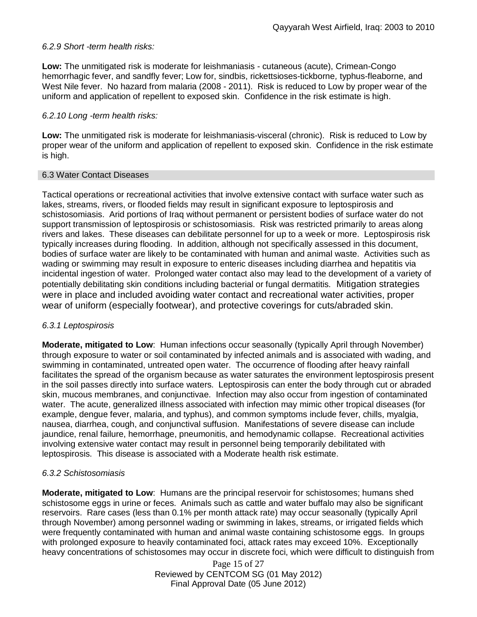# *6.2.9 Short -term health risks:*

**Low:** The unmitigated risk is moderate for leishmaniasis - cutaneous (acute), Crimean-Congo hemorrhagic fever, and sandfly fever; Low for, sindbis, rickettsioses-tickborne*,* typhus-fleaborne, and West Nile fever. No hazard from malaria (2008 - 2011). Risk is reduced to Low by proper wear of the uniform and application of repellent to exposed skin. Confidence in the risk estimate is high.

# *6.2.10 Long -term health risks:*

**Low:** The unmitigated risk is moderate for leishmaniasis-visceral (chronic). Risk is reduced to Low by proper wear of the uniform and application of repellent to exposed skin. Confidence in the risk estimate is high.

# 6.3 Water Contact Diseases

Tactical operations or recreational activities that involve extensive contact with surface water such as lakes, streams, rivers, or flooded fields may result in significant exposure to leptospirosis and schistosomiasis. Arid portions of Iraq without permanent or persistent bodies of surface water do not support transmission of leptospirosis or schistosomiasis. Risk was restricted primarily to areas along rivers and lakes. These diseases can debilitate personnel for up to a week or more. Leptospirosis risk typically increases during flooding. In addition, although not specifically assessed in this document, bodies of surface water are likely to be contaminated with human and animal waste. Activities such as wading or swimming may result in exposure to enteric diseases including diarrhea and hepatitis via incidental ingestion of water. Prolonged water contact also may lead to the development of a variety of potentially debilitating skin conditions including bacterial or fungal dermatitis. Mitigation strategies were in place and included avoiding water contact and recreational water activities, proper wear of uniform (especially footwear), and protective coverings for cuts/abraded skin.

# *6.3.1 Leptospirosis*

**Moderate, mitigated to Low**: Human infections occur seasonally (typically April through November) through exposure to water or soil contaminated by infected animals and is associated with wading, and swimming in contaminated, untreated open water. The occurrence of flooding after heavy rainfall facilitates the spread of the organism because as water saturates the environment leptospirosis present in the soil passes directly into surface waters. Leptospirosis can enter the body through cut or abraded skin, mucous membranes, and conjunctivae. Infection may also occur from ingestion of contaminated water. The acute, generalized illness associated with infection may mimic other tropical diseases (for example, dengue fever, malaria, and typhus), and common symptoms include fever, chills, myalgia, nausea, diarrhea, cough, and conjunctival suffusion. Manifestations of severe disease can include jaundice, renal failure, hemorrhage, pneumonitis, and hemodynamic collapse. Recreational activities involving extensive water contact may result in personnel being temporarily debilitated with leptospirosis. This disease is associated with a Moderate health risk estimate.

# *6.3.2 Schistosomiasis*

**Moderate, mitigated to Low**: Humans are the principal reservoir for schistosomes; humans shed schistosome eggs in urine or feces. Animals such as cattle and water buffalo may also be significant reservoirs. Rare cases (less than 0.1% per month attack rate) may occur seasonally (typically April through November) among personnel wading or swimming in lakes, streams, or irrigated fields which were frequently contaminated with human and animal waste containing schistosome eggs. In groups with prolonged exposure to heavily contaminated foci, attack rates may exceed 10%. Exceptionally heavy concentrations of schistosomes may occur in discrete foci, which were difficult to distinguish from

> Page 15 of 27 Reviewed by CENTCOM SG (01 May 2012) Final Approval Date (05 June 2012)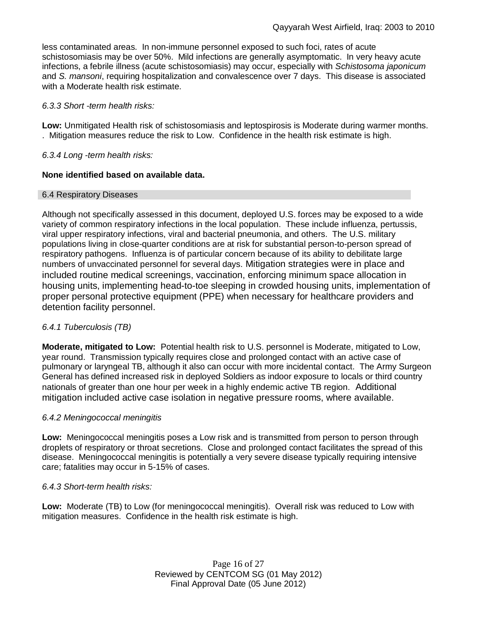less contaminated areas. In non-immune personnel exposed to such foci, rates of acute schistosomiasis may be over 50%. Mild infections are generally asymptomatic. In very heavy acute infections, a febrile illness (acute schistosomiasis) may occur, especially with *Schistosoma japonicum* and *S. mansoni*, requiring hospitalization and convalescence over 7 days. This disease is associated with a Moderate health risk estimate.

#### *6.3.3 Short -term health risks:*

**Low:** Unmitigated Health risk of schistosomiasis and leptospirosis is Moderate during warmer months. . Mitigation measures reduce the risk to Low. Confidence in the health risk estimate is high.

## *6.3.4 Long -term health risks:*

## **None identified based on available data.**

## 6.4 Respiratory Diseases

Although not specifically assessed in this document, deployed U.S. forces may be exposed to a wide variety of common respiratory infections in the local population. These include influenza, pertussis, viral upper respiratory infections, viral and bacterial pneumonia, and others. The U.S. military populations living in close-quarter conditions are at risk for substantial person-to-person spread of respiratory pathogens. Influenza is of particular concern because of its ability to debilitate large numbers of unvaccinated personnel for several days. Mitigation strategies were in place and included routine medical screenings, vaccination, enforcing minimum space allocation in housing units, implementing head-to-toe sleeping in crowded housing units, implementation of proper personal protective equipment (PPE) when necessary for healthcare providers and detention facility personnel.

# *6.4.1 Tuberculosis (TB)*

**Moderate, mitigated to Low:** Potential health risk to U.S. personnel is Moderate, mitigated to Low, year round. Transmission typically requires close and prolonged contact with an active case of pulmonary or laryngeal TB, although it also can occur with more incidental contact. The Army Surgeon General has defined increased risk in deployed Soldiers as indoor exposure to locals or third country nationals of greater than one hour per week in a highly endemic active TB region. Additional mitigation included active case isolation in negative pressure rooms, where available.

#### *6.4.2 Meningococcal meningitis*

**Low:** Meningococcal meningitis poses a Low risk and is transmitted from person to person through droplets of respiratory or throat secretions. Close and prolonged contact facilitates the spread of this disease. Meningococcal meningitis is potentially a very severe disease typically requiring intensive care; fatalities may occur in 5-15% of cases.

# *6.4.3 Short-term health risks:*

**Low:** Moderate (TB) to Low (for meningococcal meningitis). Overall risk was reduced to Low with mitigation measures. Confidence in the health risk estimate is high.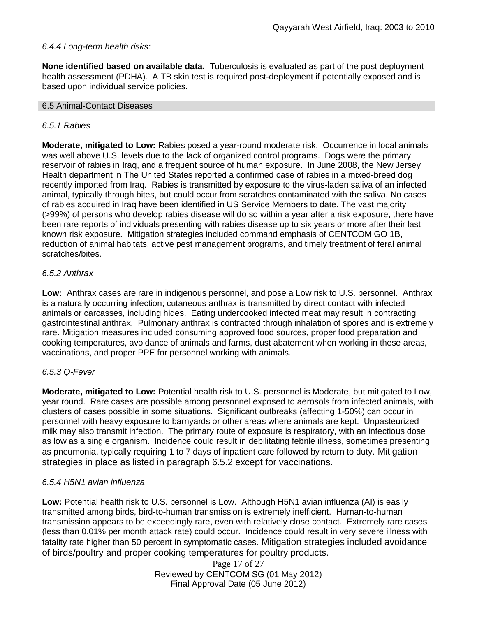# *6.4.4 Long-term health risks:*

**None identified based on available data.** Tuberculosis is evaluated as part of the post deployment health assessment (PDHA). A TB skin test is required post-deployment if potentially exposed and is based upon individual service policies.

#### 6.5 Animal-Contact Diseases

#### *6.5.1 Rabies*

**Moderate, mitigated to Low:** Rabies posed a year-round moderate risk. Occurrence in local animals was well above U.S. levels due to the lack of organized control programs. Dogs were the primary reservoir of rabies in Iraq, and a frequent source of human exposure. In June 2008, the New Jersey Health department in The United States reported a confirmed case of rabies in a mixed-breed dog recently imported from Iraq. Rabies is transmitted by exposure to the virus-laden saliva of an infected animal, typically through bites, but could occur from scratches contaminated with the saliva. No cases of rabies acquired in Iraq have been identified in US Service Members to date. The vast majority (>99%) of persons who develop rabies disease will do so within a year after a risk exposure, there have been rare reports of individuals presenting with rabies disease up to six years or more after their last known risk exposure. Mitigation strategies included command emphasis of CENTCOM GO 1B, reduction of animal habitats, active pest management programs, and timely treatment of feral animal scratches/bites.

## *6.5.2 Anthrax*

**Low:** Anthrax cases are rare in indigenous personnel, and pose a Low risk to U.S. personnel. Anthrax is a naturally occurring infection; cutaneous anthrax is transmitted by direct contact with infected animals or carcasses, including hides. Eating undercooked infected meat may result in contracting gastrointestinal anthrax. Pulmonary anthrax is contracted through inhalation of spores and is extremely rare. Mitigation measures included consuming approved food sources, proper food preparation and cooking temperatures, avoidance of animals and farms, dust abatement when working in these areas, vaccinations, and proper PPE for personnel working with animals.

#### *6.5.3 Q-Fever*

**Moderate, mitigated to Low:** Potential health risk to U.S. personnel is Moderate, but mitigated to Low, year round. Rare cases are possible among personnel exposed to aerosols from infected animals, with clusters of cases possible in some situations. Significant outbreaks (affecting 1-50%) can occur in personnel with heavy exposure to barnyards or other areas where animals are kept. Unpasteurized milk may also transmit infection. The primary route of exposure is respiratory, with an infectious dose as low as a single organism. Incidence could result in debilitating febrile illness, sometimes presenting as pneumonia, typically requiring 1 to 7 days of inpatient care followed by return to duty. Mitigation strategies in place as listed in paragraph 6.5.2 except for vaccinations.

# *6.5.4 H5N1 avian influenza*

**Low:** Potential health risk to U.S. personnel is Low. Although H5N1 avian influenza (AI) is easily transmitted among birds, bird-to-human transmission is extremely inefficient. Human-to-human transmission appears to be exceedingly rare, even with relatively close contact. Extremely rare cases (less than 0.01% per month attack rate) could occur. Incidence could result in very severe illness with fatality rate higher than 50 percent in symptomatic cases. Mitigation strategies included avoidance of birds/poultry and proper cooking temperatures for poultry products.

> Page 17 of 27 Reviewed by CENTCOM SG (01 May 2012) Final Approval Date (05 June 2012)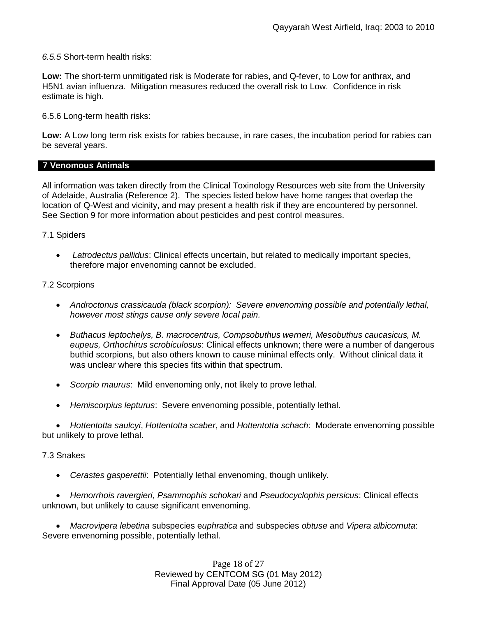*6.5.5* Short-term health risks:

**Low:** The short-term unmitigated risk is Moderate for rabies, and Q-fever, to Low for anthrax, and H5N1 avian influenza. Mitigation measures reduced the overall risk to Low. Confidence in risk estimate is high.

6.5.6 Long-term health risks:

**Low:** A Low long term risk exists for rabies because, in rare cases, the incubation period for rabies can be several years.

## **7 Venomous Animals**

All information was taken directly from the Clinical Toxinology Resources web site from the University of Adelaide, Australia (Reference 2). The species listed below have home ranges that overlap the location of Q-West and vicinity, and may present a health risk if they are encountered by personnel. See Section 9 for more information about pesticides and pest control measures.

## 7.1 Spiders

 *Latrodectus pallidus*: Clinical effects uncertain, but related to medically important species, therefore major envenoming cannot be excluded.

## 7.2 Scorpions

- *Androctonus crassicauda (black scorpion): Severe envenoming possible and potentially lethal, however most stings cause only severe local pain.*
- *Buthacus leptochelys, B. macrocentrus, Compsobuthus werneri, Mesobuthus caucasicus, M. eupeus, Orthochirus scrobiculosus*: Clinical effects unknown; there were a number of dangerous buthid scorpions, but also others known to cause minimal effects only. Without clinical data it was unclear where this species fits within that spectrum.
- *Scorpio maurus*: Mild envenoming only, not likely to prove lethal.
- *Hemiscorpius lepturus*: Severe envenoming possible, potentially lethal.

 *Hottentotta saulcyi*, *Hottentotta scaber*, and *Hottentotta schach*: Moderate envenoming possible but unlikely to prove lethal.

#### 7.3 Snakes

*Cerastes gasperettii*: Potentially lethal envenoming, though unlikely.

 *Hemorrhois ravergieri*, *Psammophis schokari* and *Pseudocyclophis persicus*: Clinical effects unknown, but unlikely to cause significant envenoming.

 *Macrovipera lebetina* subspecies e*uphratica* and subspecies *obtuse* and *Vipera albicornuta*: Severe envenoming possible, potentially lethal.

> Page 18 of 27 Reviewed by CENTCOM SG (01 May 2012) Final Approval Date (05 June 2012)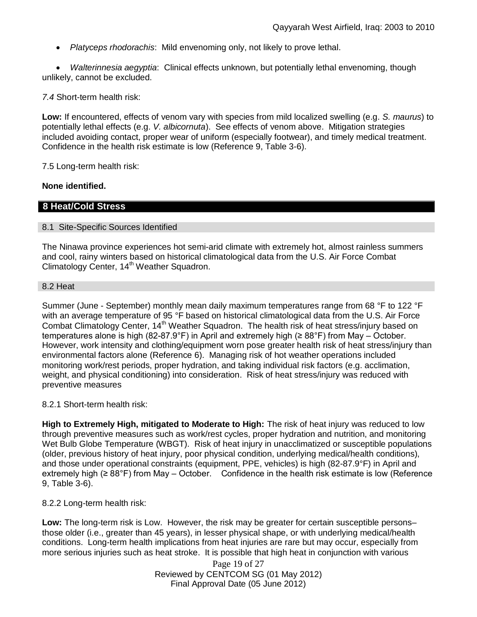*Platyceps rhodorachis*: Mild envenoming only, not likely to prove lethal.

 *Walterinnesia aegyptia*: Clinical effects unknown, but potentially lethal envenoming, though unlikely, cannot be excluded.

*7.4* Short-term health risk:

**Low:** If encountered, effects of venom vary with species from mild localized swelling (e.g. *S. maurus*) to potentially lethal effects (e.g. *V. albicornuta*). See effects of venom above. Mitigation strategies included avoiding contact, proper wear of uniform (especially footwear), and timely medical treatment. Confidence in the health risk estimate is low (Reference 9, Table 3-6).

7.5 Long-term health risk:

#### **None identified.**

#### **8 Heat/Cold Stress**

#### 8.1 Site-Specific Sources Identified

The Ninawa province experiences hot semi-arid climate with extremely hot, almost rainless summers and cool, rainy winters based on historical climatological data from the U.S. Air Force Combat Climatology Center, 14<sup>th</sup> Weather Squadron.

#### 8.2 Heat

Summer (June - September) monthly mean daily maximum temperatures range from 68 °F to 122 °F with an average temperature of 95 °F based on historical climatological data from the U.S. Air Force Combat Climatology Center, 14<sup>th</sup> Weather Squadron. The health risk of heat stress/injury based on temperatures alone is high (82-87.9°F) in April and extremely high (≥ 88°F) from May – October. However, work intensity and clothing/equipment worn pose greater health risk of heat stress/injury than environmental factors alone (Reference 6). Managing risk of hot weather operations included monitoring work/rest periods, proper hydration, and taking individual risk factors (e.g. acclimation, weight, and physical conditioning) into consideration. Risk of heat stress/injury was reduced with preventive measures

8.2.1 Short-term health risk:

**High to Extremely High, mitigated to Moderate to High:** The risk of heat injury was reduced to low through preventive measures such as work/rest cycles, proper hydration and nutrition, and monitoring Wet Bulb Globe Temperature (WBGT). Risk of heat injury in unacclimatized or susceptible populations (older, previous history of heat injury, poor physical condition, underlying medical/health conditions), and those under operational constraints (equipment, PPE, vehicles) is high (82-87.9°F) in April and extremely high (≥ 88°F) from May – October. Confidence in the health risk estimate is low (Reference 9, Table 3-6).

8.2.2 Long-term health risk:

**Low:** The long-term risk is Low. However, the risk may be greater for certain susceptible persons– those older (i.e., greater than 45 years), in lesser physical shape, or with underlying medical/health conditions. Long-term health implications from heat injuries are rare but may occur, especially from more serious injuries such as heat stroke. It is possible that high heat in conjunction with various

> Page 19 of 27 Reviewed by CENTCOM SG (01 May 2012) Final Approval Date (05 June 2012)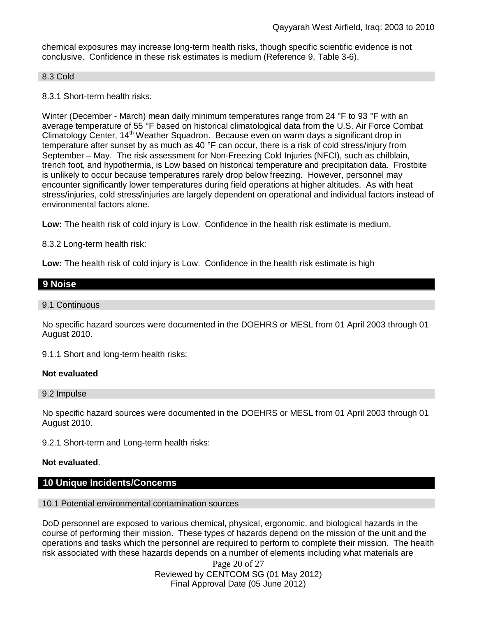chemical exposures may increase long-term health risks, though specific scientific evidence is not conclusive. Confidence in these risk estimates is medium (Reference 9, Table 3-6).

#### 8.3 Cold

8.3.1 Short-term health risks:

Winter (December - March) mean daily minimum temperatures range from 24 °F to 93 °F with an average temperature of 55 °F based on historical climatological data from the U.S. Air Force Combat Climatology Center, 14<sup>th</sup> Weather Squadron. Because even on warm days a significant drop in temperature after sunset by as much as 40 °F can occur, there is a risk of cold stress/injury from September – May. The risk assessment for Non-Freezing Cold Injuries (NFCI), such as chilblain, trench foot, and hypothermia, is Low based on historical temperature and precipitation data. Frostbite is unlikely to occur because temperatures rarely drop below freezing. However, personnel may encounter significantly lower temperatures during field operations at higher altitudes. As with heat stress/injuries, cold stress/injuries are largely dependent on operational and individual factors instead of environmental factors alone.

**Low:** The health risk of cold injury is Low. Confidence in the health risk estimate is medium.

8.3.2 Long-term health risk:

**Low:** The health risk of cold injury is Low. Confidence in the health risk estimate is high

| 9 Noise |  |  |  |
|---------|--|--|--|
|         |  |  |  |

#### 9.1 Continuous

No specific hazard sources were documented in the DOEHRS or MESL from 01 April 2003 through 01 August 2010.

9.1.1 Short and long-term health risks:

#### **Not evaluated**

9.2 Impulse

No specific hazard sources were documented in the DOEHRS or MESL from 01 April 2003 through 01 August 2010.

9.2.1 Short-term and Long-term health risks:

#### **Not evaluated**.

# **10 Unique Incidents/Concerns**

#### 10.1 Potential environmental contamination sources

DoD personnel are exposed to various chemical, physical, ergonomic, and biological hazards in the course of performing their mission. These types of hazards depend on the mission of the unit and the operations and tasks which the personnel are required to perform to complete their mission. The health risk associated with these hazards depends on a number of elements including what materials are

> Page 20 of 27 Reviewed by CENTCOM SG (01 May 2012) Final Approval Date (05 June 2012)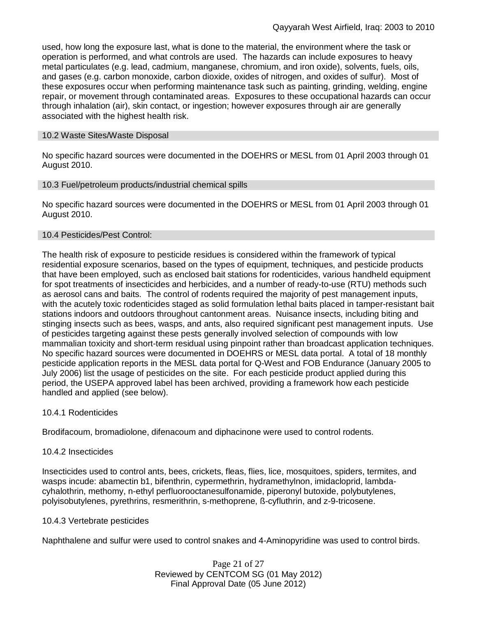used, how long the exposure last, what is done to the material, the environment where the task or operation is performed, and what controls are used. The hazards can include exposures to heavy metal particulates (e.g. lead, cadmium, manganese, chromium, and iron oxide), solvents, fuels, oils, and gases (e.g. carbon monoxide, carbon dioxide, oxides of nitrogen, and oxides of sulfur). Most of these exposures occur when performing maintenance task such as painting, grinding, welding, engine repair, or movement through contaminated areas. Exposures to these occupational hazards can occur through inhalation (air), skin contact, or ingestion; however exposures through air are generally associated with the highest health risk.

#### 10.2 Waste Sites/Waste Disposal

No specific hazard sources were documented in the DOEHRS or MESL from 01 April 2003 through 01 August 2010.

#### 10.3 Fuel/petroleum products/industrial chemical spills

No specific hazard sources were documented in the DOEHRS or MESL from 01 April 2003 through 01 August 2010.

#### 10.4 Pesticides/Pest Control:

The health risk of exposure to pesticide residues is considered within the framework of typical residential exposure scenarios, based on the types of equipment, techniques, and pesticide products that have been employed, such as enclosed bait stations for rodenticides, various handheld equipment for spot treatments of insecticides and herbicides, and a number of ready-to-use (RTU) methods such as aerosol cans and baits. The control of rodents required the majority of pest management inputs, with the acutely toxic rodenticides staged as solid formulation lethal baits placed in tamper-resistant bait stations indoors and outdoors throughout cantonment areas. Nuisance insects, including biting and stinging insects such as bees, wasps, and ants, also required significant pest management inputs. Use of pesticides targeting against these pests generally involved selection of compounds with low mammalian toxicity and short-term residual using pinpoint rather than broadcast application techniques. No specific hazard sources were documented in DOEHRS or MESL data portal. A total of 18 monthly pesticide application reports in the MESL data portal for Q-West and FOB Endurance (January 2005 to July 2006) list the usage of pesticides on the site. For each pesticide product applied during this period, the USEPA approved label has been archived, providing a framework how each pesticide handled and applied (see below).

#### 10.4.1 Rodenticides

Brodifacoum, bromadiolone, difenacoum and diphacinone were used to control rodents.

#### 10.4.2 Insecticides

Insecticides used to control ants, bees, crickets, fleas, flies, lice, mosquitoes, spiders, termites, and wasps incude: abamectin b1, bifenthrin, cypermethrin, hydramethylnon, imidacloprid, lambdacyhalothrin, methomy, n-ethyl perfluorooctanesulfonamide, piperonyl butoxide, polybutylenes, polyisobutylenes, pyrethrins, resmerithrin, s-methoprene, ß-cyfluthrin, and z-9-tricosene.

#### 10.4.3 Vertebrate pesticides

Naphthalene and sulfur were used to control snakes and 4-Aminopyridine was used to control birds.

Page 21 of 27 Reviewed by CENTCOM SG (01 May 2012) Final Approval Date (05 June 2012)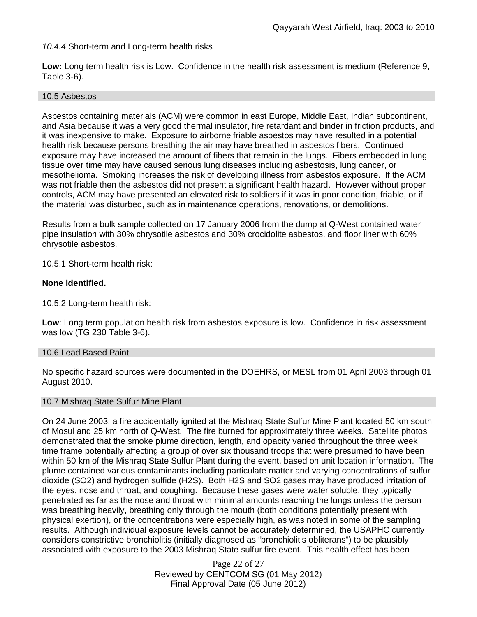## *10.4.4* Short-term and Long-term health risks

**Low:** Long term health risk is Low. Confidence in the health risk assessment is medium (Reference 9, Table 3-6).

#### 10.5 Asbestos

Asbestos containing materials (ACM) were common in east Europe, Middle East, Indian subcontinent, and Asia because it was a very good thermal insulator, fire retardant and binder in friction products, and it was inexpensive to make. Exposure to airborne friable asbestos may have resulted in a potential health risk because persons breathing the air may have breathed in asbestos fibers. Continued exposure may have increased the amount of fibers that remain in the lungs. Fibers embedded in lung tissue over time may have caused serious lung diseases including asbestosis, lung cancer, or mesothelioma. Smoking increases the risk of developing illness from asbestos exposure. If the ACM was not friable then the asbestos did not present a significant health hazard. However without proper controls, ACM may have presented an elevated risk to soldiers if it was in poor condition, friable, or if the material was disturbed, such as in maintenance operations, renovations, or demolitions.

Results from a bulk sample collected on 17 January 2006 from the dump at Q-West contained water pipe insulation with 30% chrysotile asbestos and 30% crocidolite asbestos, and floor liner with 60% chrysotile asbestos.

10.5.1 Short-term health risk:

#### **None identified.**

10.5.2 Long-term health risk:

**Low**: Long term population health risk from asbestos exposure is low. Confidence in risk assessment was low (TG 230 Table 3-6).

#### 10.6 Lead Based Paint

No specific hazard sources were documented in the DOEHRS, or MESL from 01 April 2003 through 01 August 2010.

#### 10.7 Mishraq State Sulfur Mine Plant

On 24 June 2003, a fire accidentally ignited at the Mishraq State Sulfur Mine Plant located 50 km south of Mosul and 25 km north of Q-West. The fire burned for approximately three weeks. Satellite photos demonstrated that the smoke plume direction, length, and opacity varied throughout the three week time frame potentially affecting a group of over six thousand troops that were presumed to have been within 50 km of the Mishraq State Sulfur Plant during the event, based on unit location information. The plume contained various contaminants including particulate matter and varying concentrations of sulfur dioxide (SO2) and hydrogen sulfide (H2S). Both H2S and SO2 gases may have produced irritation of the eyes, nose and throat, and coughing. Because these gases were water soluble, they typically penetrated as far as the nose and throat with minimal amounts reaching the lungs unless the person was breathing heavily, breathing only through the mouth (both conditions potentially present with physical exertion), or the concentrations were especially high, as was noted in some of the sampling results. Although individual exposure levels cannot be accurately determined, the USAPHC currently considers constrictive bronchiolitis (initially diagnosed as "bronchiolitis obliterans") to be plausibly associated with exposure to the 2003 Mishraq State sulfur fire event. This health effect has been

> Page 22 of 27 Reviewed by CENTCOM SG (01 May 2012) Final Approval Date (05 June 2012)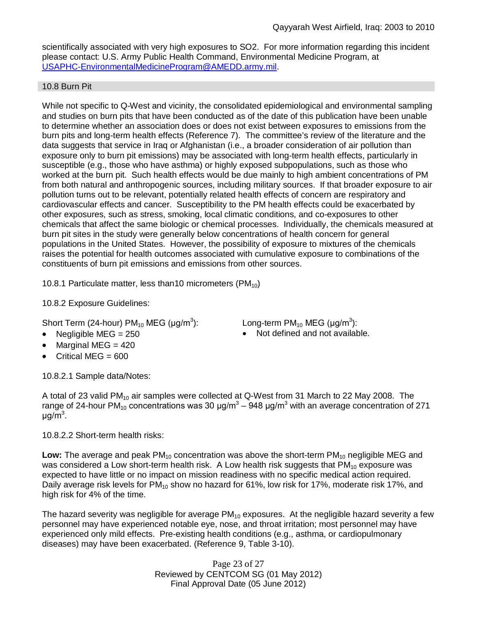scientifically associated with very high exposures to SO2. For more information regarding this incident please contact: U.S. Army Public Health Command, Environmental Medicine Program, at USAPHC-EnvironmentalMedicineProgram@AMEDD.army.mil.

# 10.8 Burn Pit

While not specific to Q-West and vicinity, the consolidated epidemiological and environmental sampling and studies on burn pits that have been conducted as of the date of this publication have been unable to determine whether an association does or does not exist between exposures to emissions from the burn pits and long-term health effects (Reference 7). The committee's review of the literature and the data suggests that service in Iraq or Afghanistan (i.e., a broader consideration of air pollution than exposure only to burn pit emissions) may be associated with long-term health effects, particularly in susceptible (e.g., those who have asthma) or highly exposed subpopulations, such as those who worked at the burn pit. Such health effects would be due mainly to high ambient concentrations of PM from both natural and anthropogenic sources, including military sources. If that broader exposure to air pollution turns out to be relevant, potentially related health effects of concern are respiratory and cardiovascular effects and cancer. Susceptibility to the PM health effects could be exacerbated by other exposures, such as stress, smoking, local climatic conditions, and co-exposures to other chemicals that affect the same biologic or chemical processes. Individually, the chemicals measured at burn pit sites in the study were generally below concentrations of health concern for general populations in the United States. However, the possibility of exposure to mixtures of the chemicals raises the potential for health outcomes associated with cumulative exposure to combinations of the constituents of burn pit emissions and emissions from other sources.

10.8.1 Particulate matter, less than 10 micrometers (PM $_{10}$ )

10.8.2 Exposure Guidelines:

Short Term (24-hour) PM $_{10}$  MEG (µg/m $^3$ 

- 
- Marginal MEG  $=$  420
- Critical MEG = 600

10.8.2.1 Sample data/Notes:

): Long-term PM<sub>10</sub> MEG (µg/m<sup>3</sup>): Negligible  $MEG = 250$  **Not defined and not available.** 

A total of 23 valid  $PM_{10}$  air samples were collected at Q-West from 31 March to 22 May 2008. The range of 24-hour PM<sub>10</sub> concentrations was 30 μg/m<sup>3</sup> – 948 μg/m<sup>3</sup> with an average concentration of 271 μg/m<sup>3</sup>.

10.8.2.2 Short-term health risks:

Low: The average and peak PM<sub>10</sub> concentration was above the short-term PM<sub>10</sub> negligible MEG and was considered a Low short-term health risk. A Low health risk suggests that  $PM_{10}$  exposure was expected to have little or no impact on mission readiness with no specific medical action required. Daily average risk levels for  $PM_{10}$  show no hazard for 61%, low risk for 17%, moderate risk 17%, and high risk for 4% of the time.

The hazard severity was negligible for average  $PM_{10}$  exposures. At the negligible hazard severity a few personnel may have experienced notable eye, nose, and throat irritation; most personnel may have experienced only mild effects. Pre-existing health conditions (e.g., asthma, or cardiopulmonary diseases) may have been exacerbated. (Reference 9, Table 3-10).

> Page 23 of 27 Reviewed by CENTCOM SG (01 May 2012) Final Approval Date (05 June 2012)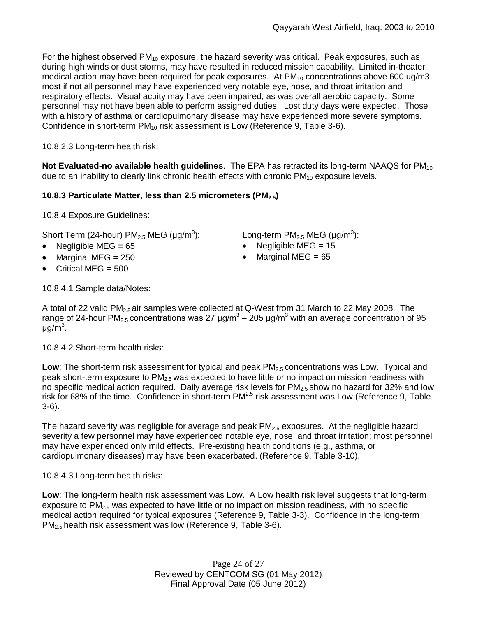For the highest observed  $PM_{10}$  exposure, the hazard severity was critical. Peak exposures, such as during high winds or dust storms, may have resulted in reduced mission capability. Limited in-theater medical action may have been required for peak exposures. At  $PM_{10}$  concentrations above 600 ug/m3, most if not all personnel may have experienced very notable eye, nose, and throat irritation and respiratory effects. Visual acuity may have been impaired, as was overall aerobic capacity. Some personnel may not have been able to perform assigned duties. Lost duty days were expected. Those with a history of asthma or cardiopulmonary disease may have experienced more severe symptoms. Confidence in short-term PM<sub>10</sub> risk assessment is Low (Reference 9, Table 3-6).

10.8.2.3 Long-term health risk:

**Not Evaluated-no available health guidelines**. The EPA has retracted its long-term NAAQS for PM<sub>10</sub> due to an inability to clearly link chronic health effects with chronic  $PM_{10}$  exposure levels.

# **10.8.3 Particulate Matter, less than 2.5 micrometers (PM2.5)**

10.8.4 Exposure Guidelines:

Short Term (24-hour) PM $_{2.5}$  MEG (µg/m $^3$ ):  $\hskip10mm$  Long-term PM $_{2.5}$  MEG (µg/m $^3$ ):

- 
- Marginal MEG = 250 **a** Marginal MEG = 65
- $\bullet$  Critical MEG = 500

- Negligible MEG = 65 Negligible MEG = 15
	-

10.8.4.1 Sample data/Notes:

A total of 22 valid PM<sub>2.5</sub> air samples were collected at Q-West from 31 March to 22 May 2008. The range of 24-hour PM<sub>2.5</sub> concentrations was 27 μg/m<sup>3</sup> – 205 μg/m<sup>3</sup> with an average concentration of 95 μg/m<sup>3</sup>.

10.8.4.2 Short-term health risks:

**Low**: The short-term risk assessment for typical and peak PM<sub>2.5</sub> concentrations was Low. Typical and peak short-term exposure to PM<sub>2.5</sub> was expected to have little or no impact on mission readiness with no specific medical action required. Daily average risk levels for PM<sub>2.5</sub> show no hazard for 32% and low risk for 68% of the time. Confidence in short-term PM<sup>2.5</sup> risk assessment was Low (Reference 9, Table 3-6).

The hazard severity was negligible for average and peak  $PM_{2.5}$  exposures. At the negligible hazard severity a few personnel may have experienced notable eye, nose, and throat irritation; most personnel may have experienced only mild effects. Pre-existing health conditions (e.g., asthma, or cardiopulmonary diseases) may have been exacerbated. (Reference 9, Table 3-10).

10.8.4.3 Long-term health risks:

**Low**: The long-term health risk assessment was Low. A Low health risk level suggests that long-term exposure to  $PM<sub>2.5</sub>$  was expected to have little or no impact on mission readiness, with no specific medical action required for typical exposures (Reference 9, Table 3-3). Confidence in the long-term PM<sub>2.5</sub> health risk assessment was low (Reference 9, Table 3-6).

> Page 24 of 27 Reviewed by CENTCOM SG (01 May 2012) Final Approval Date (05 June 2012)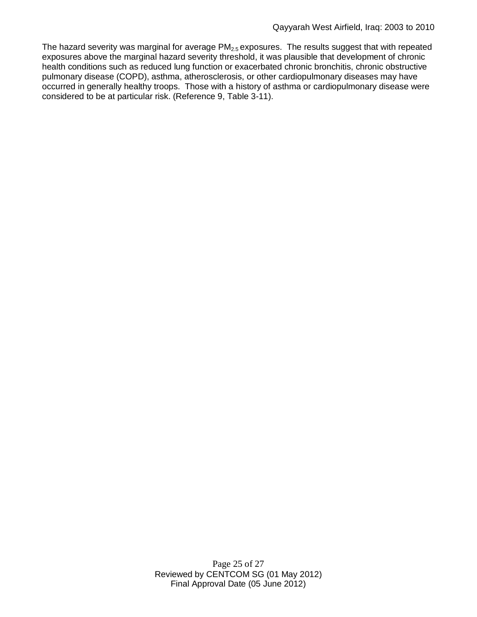The hazard severity was marginal for average  $PM<sub>2.5</sub>$  exposures. The results suggest that with repeated exposures above the marginal hazard severity threshold, it was plausible that development of chronic health conditions such as reduced lung function or exacerbated chronic bronchitis, chronic obstructive pulmonary disease (COPD), asthma, atherosclerosis, or other cardiopulmonary diseases may have occurred in generally healthy troops. Those with a history of asthma or cardiopulmonary disease were considered to be at particular risk. (Reference 9, Table 3-11).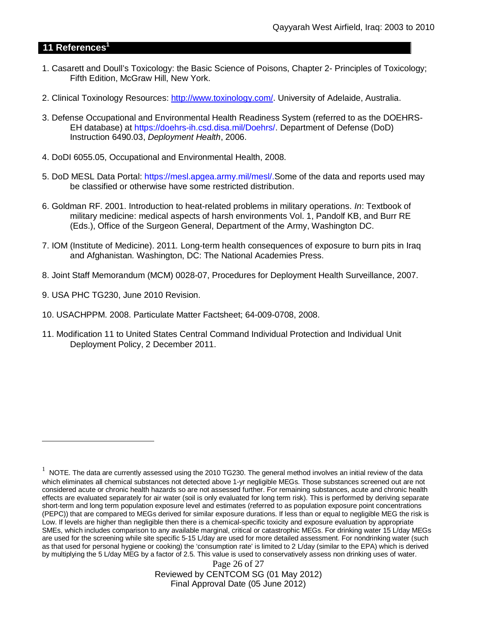# **11 References<sup>1</sup>**

- 1. Casarett and Doull's Toxicology: the Basic Science of Poisons, Chapter 2- Principles of Toxicology; Fifth Edition, McGraw Hill, New York.
- 2. Clinical Toxinology Resources: http://www.toxinology.com/. University of Adelaide, Australia.
- 3. Defense Occupational and Environmental Health Readiness System (referred to as the DOEHRS-EH database) at https://doehrs-ih.csd.disa.mil/Doehrs/. Department of Defense (DoD) Instruction 6490.03, *Deployment Health*, 2006.
- 4. DoDI 6055.05, Occupational and Environmental Health, 2008.
- 5. DoD MESL Data Portal: https://mesl.apgea.army.mil/mesl/.Some of the data and reports used may be classified or otherwise have some restricted distribution.
- 6. Goldman RF. 2001. Introduction to heat-related problems in military operations. *In*: Textbook of military medicine: medical aspects of harsh environments Vol. 1, Pandolf KB, and Burr RE (Eds.), Office of the Surgeon General, Department of the Army, Washington DC.
- 7. IOM (Institute of Medicine). 2011*.* Long-term health consequences of exposure to burn pits in Iraq and Afghanistan*.* Washington, DC: The National Academies Press.
- 8. Joint Staff Memorandum (MCM) 0028-07, Procedures for Deployment Health Surveillance, 2007.
- 9. USA PHC TG230, June 2010 Revision.
- 10. USACHPPM. 2008. Particulate Matter Factsheet; 64-009-0708, 2008.
- 11. Modification 11 to United States Central Command Individual Protection and Individual Unit Deployment Policy, 2 December 2011.

Page 26 of 27 Reviewed by CENTCOM SG (01 May 2012) Final Approval Date (05 June 2012)

<sup>1</sup> NOTE. The data are currently assessed using the 2010 TG230. The general method involves an initial review of the data which eliminates all chemical substances not detected above 1-yr negligible MEGs. Those substances screened out are not considered acute or chronic health hazards so are not assessed further. For remaining substances, acute and chronic health effects are evaluated separately for air water (soil is only evaluated for long term risk). This is performed by deriving separate short-term and long term population exposure level and estimates (referred to as population exposure point concentrations (PEPC)) that are compared to MEGs derived for similar exposure durations. If less than or equal to negligible MEG the risk is Low. If levels are higher than negligible then there is a chemical-specific toxicity and exposure evaluation by appropriate SMEs, which includes comparison to any available marginal, critical or catastrophic MEGs. For drinking water 15 L/day MEGs are used for the screening while site specific 5-15 L/day are used for more detailed assessment. For nondrinking water (such as that used for personal hygiene or cooking) the 'consumption rate' is limited to 2 L/day (similar to the EPA) which is derived by multiplying the 5 L/day MEG by a factor of 2.5. This value is used to conservatively assess non drinking uses of water.